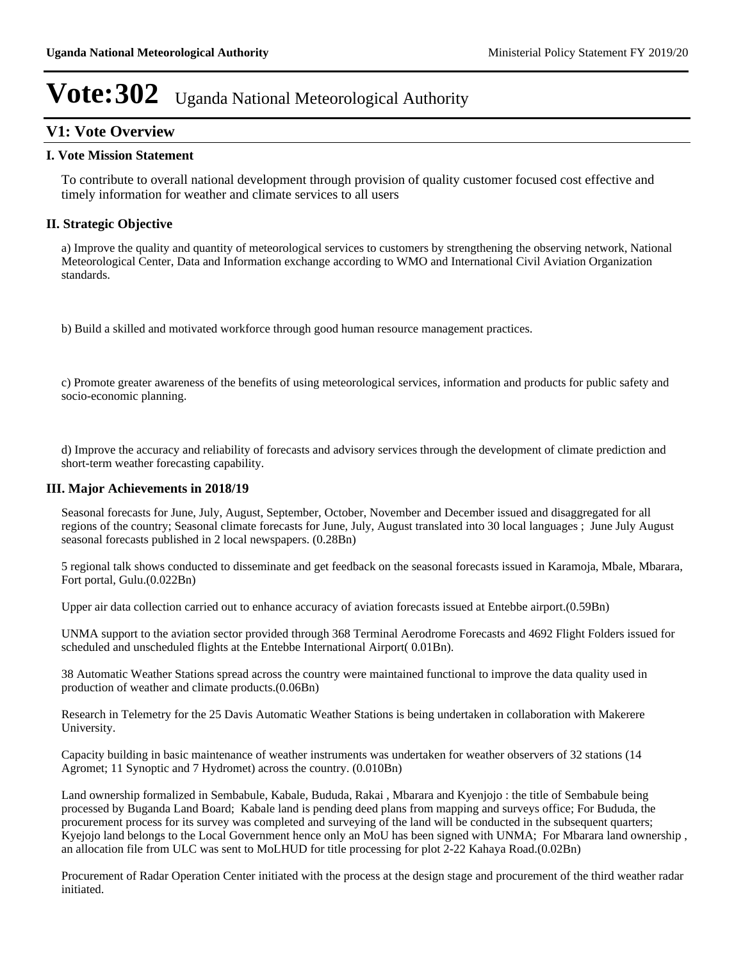### **V1: Vote Overview**

#### **I. Vote Mission Statement**

To contribute to overall national development through provision of quality customer focused cost effective and timely information for weather and climate services to all users

### **II. Strategic Objective**

a) Improve the quality and quantity of meteorological services to customers by strengthening the observing network, National Meteorological Center, Data and Information exchange according to WMO and International Civil Aviation Organization standards.

b) Build a skilled and motivated workforce through good human resource management practices.

c) Promote greater awareness of the benefits of using meteorological services, information and products for public safety and socio-economic planning.

d) Improve the accuracy and reliability of forecasts and advisory services through the development of climate prediction and short-term weather forecasting capability.

#### **III. Major Achievements in 2018/19**

Seasonal forecasts for June, July, August, September, October, November and December issued and disaggregated for all regions of the country; Seasonal climate forecasts for June, July, August translated into 30 local languages ; June July August seasonal forecasts published in 2 local newspapers. (0.28Bn)

5 regional talk shows conducted to disseminate and get feedback on the seasonal forecasts issued in Karamoja, Mbale, Mbarara, Fort portal, Gulu.(0.022Bn)

Upper air data collection carried out to enhance accuracy of aviation forecasts issued at Entebbe airport.(0.59Bn)

UNMA support to the aviation sector provided through 368 Terminal Aerodrome Forecasts and 4692 Flight Folders issued for scheduled and unscheduled flights at the Entebbe International Airport( 0.01Bn).

38 Automatic Weather Stations spread across the country were maintained functional to improve the data quality used in production of weather and climate products.(0.06Bn)

Research in Telemetry for the 25 Davis Automatic Weather Stations is being undertaken in collaboration with Makerere University.

Capacity building in basic maintenance of weather instruments was undertaken for weather observers of 32 stations (14 Agromet; 11 Synoptic and 7 Hydromet) across the country. (0.010Bn)

Land ownership formalized in Sembabule, Kabale, Bududa, Rakai , Mbarara and Kyenjojo : the title of Sembabule being processed by Buganda Land Board; Kabale land is pending deed plans from mapping and surveys office; For Bududa, the procurement process for its survey was completed and surveying of the land will be conducted in the subsequent quarters; Kyejojo land belongs to the Local Government hence only an MoU has been signed with UNMA; For Mbarara land ownership , an allocation file from ULC was sent to MoLHUD for title processing for plot 2-22 Kahaya Road.(0.02Bn)

Procurement of Radar Operation Center initiated with the process at the design stage and procurement of the third weather radar initiated.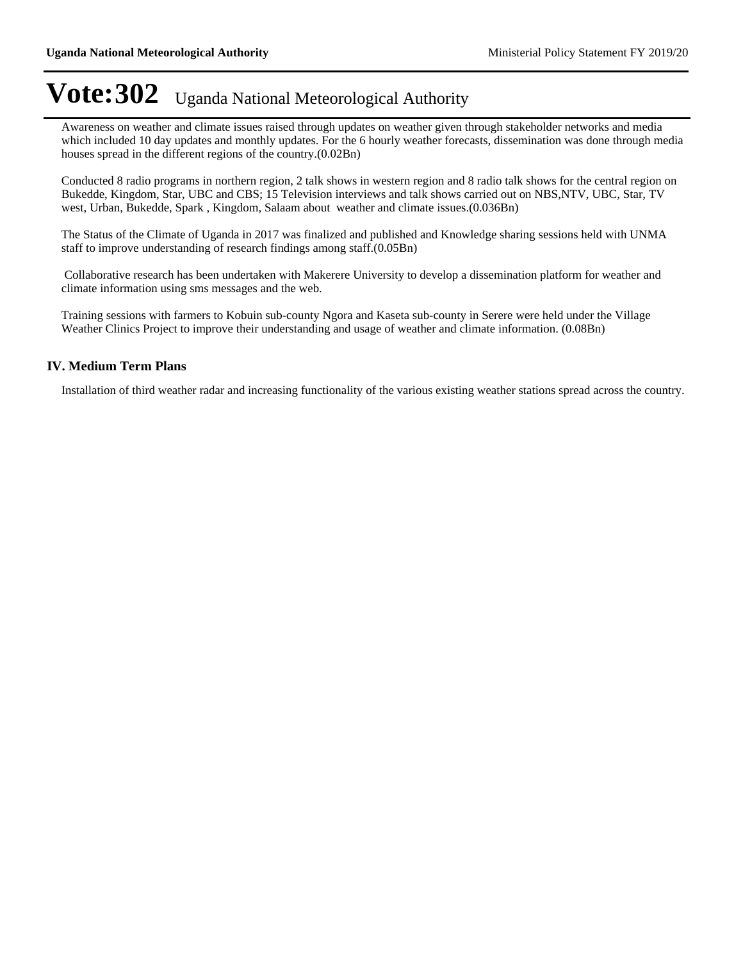Awareness on weather and climate issues raised through updates on weather given through stakeholder networks and media which included 10 day updates and monthly updates. For the 6 hourly weather forecasts, dissemination was done through media houses spread in the different regions of the country.(0.02Bn)

Conducted 8 radio programs in northern region, 2 talk shows in western region and 8 radio talk shows for the central region on Bukedde, Kingdom, Star, UBC and CBS; 15 Television interviews and talk shows carried out on NBS,NTV, UBC, Star, TV west, Urban, Bukedde, Spark , Kingdom, Salaam about weather and climate issues.(0.036Bn)

The Status of the Climate of Uganda in 2017 was finalized and published and Knowledge sharing sessions held with UNMA staff to improve understanding of research findings among staff.(0.05Bn)

 Collaborative research has been undertaken with Makerere University to develop a dissemination platform for weather and climate information using sms messages and the web.

Training sessions with farmers to Kobuin sub-county Ngora and Kaseta sub-county in Serere were held under the Village Weather Clinics Project to improve their understanding and usage of weather and climate information. (0.08Bn)

#### **IV. Medium Term Plans**

Installation of third weather radar and increasing functionality of the various existing weather stations spread across the country.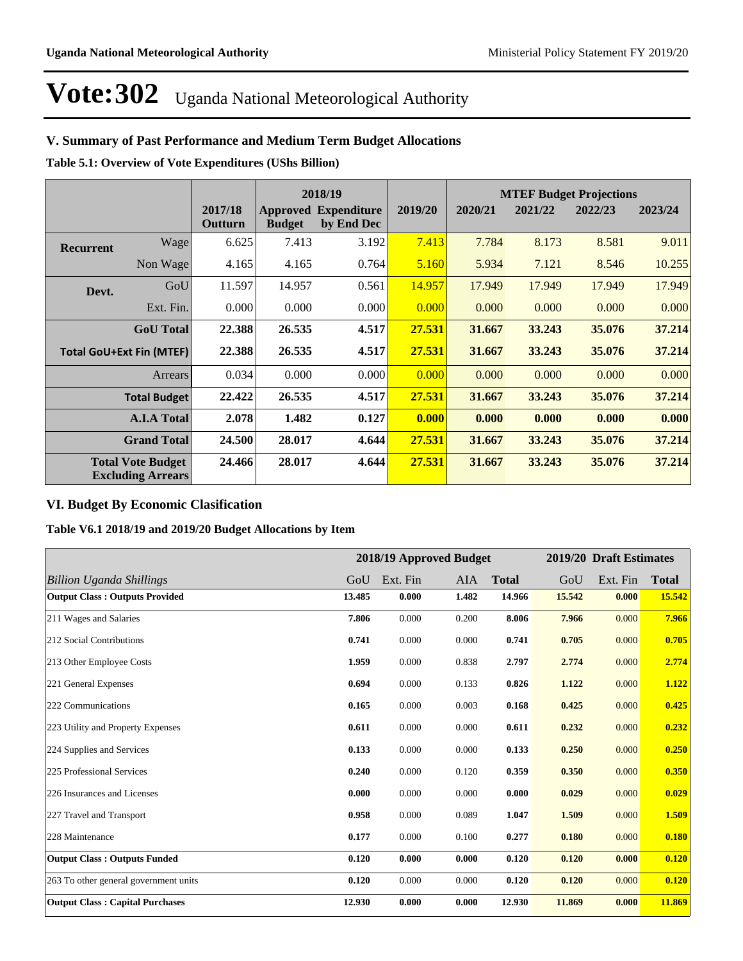### **V. Summary of Past Performance and Medium Term Budget Allocations**

**Table 5.1: Overview of Vote Expenditures (UShs Billion)**

|                  |                                                      |                    |               | 2018/19                                   |         |         |         | <b>MTEF Budget Projections</b> |         |
|------------------|------------------------------------------------------|--------------------|---------------|-------------------------------------------|---------|---------|---------|--------------------------------|---------|
|                  |                                                      | 2017/18<br>Outturn | <b>Budget</b> | <b>Approved Expenditure</b><br>by End Dec | 2019/20 | 2020/21 | 2021/22 | 2022/23                        | 2023/24 |
| <b>Recurrent</b> | Wage                                                 | 6.625              | 7.413         | 3.192                                     | 7.413   | 7.784   | 8.173   | 8.581                          | 9.011   |
|                  | Non Wage                                             | 4.165              | 4.165         | 0.764                                     | 5.160   | 5.934   | 7.121   | 8.546                          | 10.255  |
| Devt.            | GoU                                                  | 11.597             | 14.957        | 0.561                                     | 14.957  | 17.949  | 17.949  | 17.949                         | 17.949  |
|                  | Ext. Fin.                                            | 0.000              | 0.000         | 0.000                                     | 0.000   | 0.000   | 0.000   | 0.000                          | 0.000   |
|                  | <b>GoU</b> Total                                     | 22.388             | 26.535        | 4.517                                     | 27.531  | 31.667  | 33.243  | 35.076                         | 37.214  |
|                  | <b>Total GoU+Ext Fin (MTEF)</b>                      | 22.388             | 26.535        | 4.517                                     | 27.531  | 31.667  | 33.243  | 35.076                         | 37.214  |
|                  | <b>Arrears</b>                                       | 0.034              | 0.000         | 0.000                                     | 0.000   | 0.000   | 0.000   | 0.000                          | 0.000   |
|                  | <b>Total Budget</b>                                  | 22.422             | 26.535        | 4.517                                     | 27.531  | 31.667  | 33.243  | 35.076                         | 37.214  |
|                  | <b>A.I.A Total</b>                                   | 2.078              | 1.482         | 0.127                                     | 0.000   | 0.000   | 0.000   | 0.000                          | 0.000   |
|                  | <b>Grand Total</b>                                   | 24.500             | 28.017        | 4.644                                     | 27.531  | 31.667  | 33.243  | 35.076                         | 37.214  |
|                  | <b>Total Vote Budget</b><br><b>Excluding Arrears</b> | 24.466             | 28.017        | 4.644                                     | 27.531  | 31.667  | 33.243  | 35.076                         | 37.214  |

### **VI. Budget By Economic Clasification**

**Table V6.1 2018/19 and 2019/20 Budget Allocations by Item**

|                                        |        |          | 2018/19 Approved Budget |              |        | 2019/20 Draft Estimates |              |
|----------------------------------------|--------|----------|-------------------------|--------------|--------|-------------------------|--------------|
| <b>Billion Uganda Shillings</b>        | GoU    | Ext. Fin | AIA                     | <b>Total</b> | GoU    | Ext. Fin                | <b>Total</b> |
| <b>Output Class: Outputs Provided</b>  | 13.485 | 0.000    | 1.482                   | 14.966       | 15.542 | 0.000                   | 15.542       |
| 211 Wages and Salaries                 | 7.806  | 0.000    | 0.200                   | 8.006        | 7.966  | 0.000                   | 7.966        |
| 212 Social Contributions               | 0.741  | 0.000    | 0.000                   | 0.741        | 0.705  | 0.000                   | 0.705        |
| 213 Other Employee Costs               | 1.959  | 0.000    | 0.838                   | 2.797        | 2.774  | 0.000                   | 2.774        |
| 221 General Expenses                   | 0.694  | 0.000    | 0.133                   | 0.826        | 1.122  | 0.000                   | 1.122        |
| 222 Communications                     | 0.165  | 0.000    | 0.003                   | 0.168        | 0.425  | 0.000                   | 0.425        |
| 223 Utility and Property Expenses      | 0.611  | 0.000    | 0.000                   | 0.611        | 0.232  | 0.000                   | 0.232        |
| 224 Supplies and Services              | 0.133  | 0.000    | 0.000                   | 0.133        | 0.250  | 0.000                   | 0.250        |
| 225 Professional Services              | 0.240  | 0.000    | 0.120                   | 0.359        | 0.350  | 0.000                   | 0.350        |
| 226 Insurances and Licenses            | 0.000  | 0.000    | 0.000                   | 0.000        | 0.029  | 0.000                   | 0.029        |
| 227 Travel and Transport               | 0.958  | 0.000    | 0.089                   | 1.047        | 1.509  | 0.000                   | 1.509        |
| 228 Maintenance                        | 0.177  | 0.000    | 0.100                   | 0.277        | 0.180  | 0.000                   | 0.180        |
| <b>Output Class: Outputs Funded</b>    | 0.120  | 0.000    | 0.000                   | 0.120        | 0.120  | 0.000                   | 0.120        |
| 263 To other general government units  | 0.120  | 0.000    | 0.000                   | 0.120        | 0.120  | 0.000                   | 0.120        |
| <b>Output Class: Capital Purchases</b> | 12.930 | 0.000    | 0.000                   | 12.930       | 11.869 | 0.000                   | 11.869       |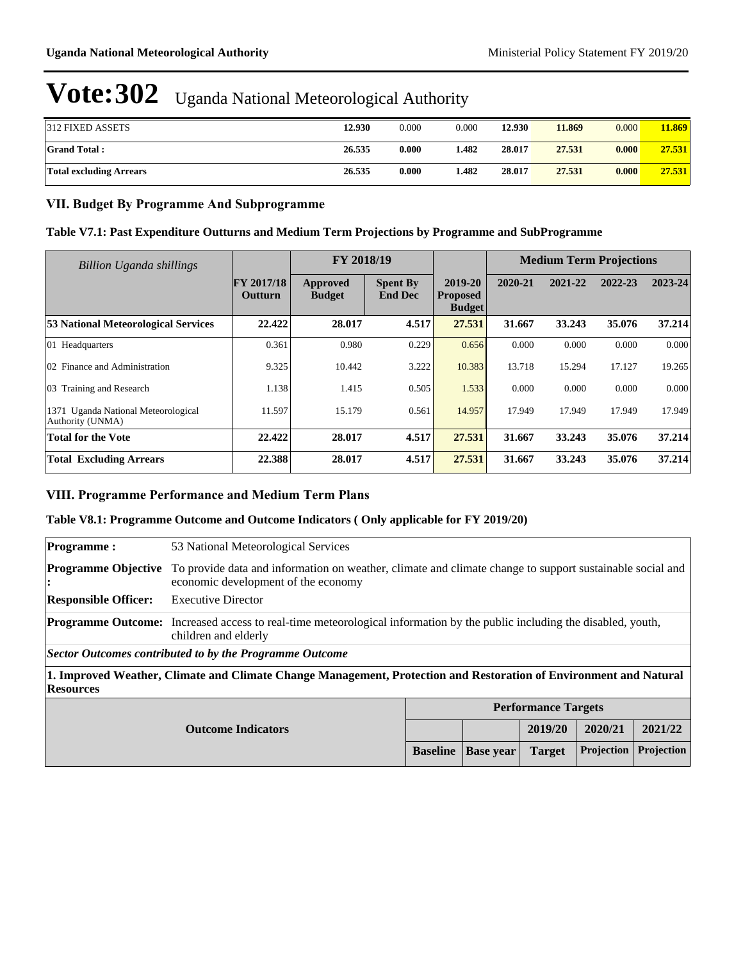| 312 FIXED ASSETS               | <b>12.930</b> | 0.000 | 0.000 | 12.930 | 11.869 | 0.000 | 11.869 |
|--------------------------------|---------------|-------|-------|--------|--------|-------|--------|
| <b>Grand Total:</b>            | 26.535        | 0.000 | l.482 | 28.017 | 27.531 | 0.000 | 27.531 |
| <b>Total excluding Arrears</b> | 26.535        | 0.000 | l.482 | 28.017 | 27.531 | 0.000 | 27.531 |

### **VII. Budget By Programme And Subprogramme**

### **Table V7.1: Past Expenditure Outturns and Medium Term Projections by Programme and SubProgramme**

| Billion Uganda shillings                                |                                     | FY 2018/19                |                                   |                                             | <b>Medium Term Projections</b> |         |         |         |
|---------------------------------------------------------|-------------------------------------|---------------------------|-----------------------------------|---------------------------------------------|--------------------------------|---------|---------|---------|
|                                                         | <b>FY 2017/18</b><br><b>Outturn</b> | Approved<br><b>Budget</b> | <b>Spent By</b><br><b>End Dec</b> | 2019-20<br><b>Proposed</b><br><b>Budget</b> | 2020-21                        | 2021-22 | 2022-23 | 2023-24 |
| <b>53 National Meteorological Services</b>              | 22,422                              | 28.017                    | 4.517                             | 27.531                                      | 31.667                         | 33.243  | 35.076  | 37.214  |
| 01 Headquarters                                         | 0.361                               | 0.980                     | 0.229                             | 0.656                                       | 0.000                          | 0.000   | 0.000   | 0.000   |
| 02 Finance and Administration                           | 9.325                               | 10.442                    | 3.222                             | 10.383                                      | 13.718                         | 15.294  | 17.127  | 19.265  |
| 03 Training and Research                                | 1.138                               | 1.415                     | 0.505                             | 1.533                                       | 0.000                          | 0.000   | 0.000   | 0.000   |
| 1371 Uganda National Meteorological<br>Authority (UNMA) | 11.597                              | 15.179                    | 0.561                             | 14.957                                      | 17.949                         | 17.949  | 17.949  | 17.949  |
| <b>Total for the Vote</b>                               | 22.422                              | 28.017                    | 4.517                             | 27.531                                      | 31.667                         | 33.243  | 35.076  | 37.214  |
| <b>Total Excluding Arrears</b>                          | 22.388                              | 28.017                    | 4.517                             | 27.531                                      | 31.667                         | 33.243  | 35.076  | 37.214  |

### **VIII. Programme Performance and Medium Term Plans**

#### **Table V8.1: Programme Outcome and Outcome Indicators ( Only applicable for FY 2019/20)**

| 53 National Meteorological Services                                                                                                                     |  |  |  |  |
|---------------------------------------------------------------------------------------------------------------------------------------------------------|--|--|--|--|
| To provide data and information on weather, climate and climate change to support sustainable social and<br>economic development of the economy         |  |  |  |  |
| <b>Executive Director</b>                                                                                                                               |  |  |  |  |
| <b>Programme Outcome:</b> Increased access to real-time meteorological information by the public including the disabled, youth,<br>children and elderly |  |  |  |  |
| Sector Outcomes contributed to by the Programme Outcome                                                                                                 |  |  |  |  |
| 1. Improved Weather, Climate and Climate Change Management, Protection and Restoration of Environment and Natural<br><b>Resources</b>                   |  |  |  |  |
|                                                                                                                                                         |  |  |  |  |

|                           |                                                                  | <b>Performance Targets</b> |         |         |
|---------------------------|------------------------------------------------------------------|----------------------------|---------|---------|
| <b>Outcome Indicators</b> |                                                                  | 2019/20                    | 2020/21 | 2021/22 |
|                           | <b>Baseline   Base year   Target   Projection   Projection  </b> |                            |         |         |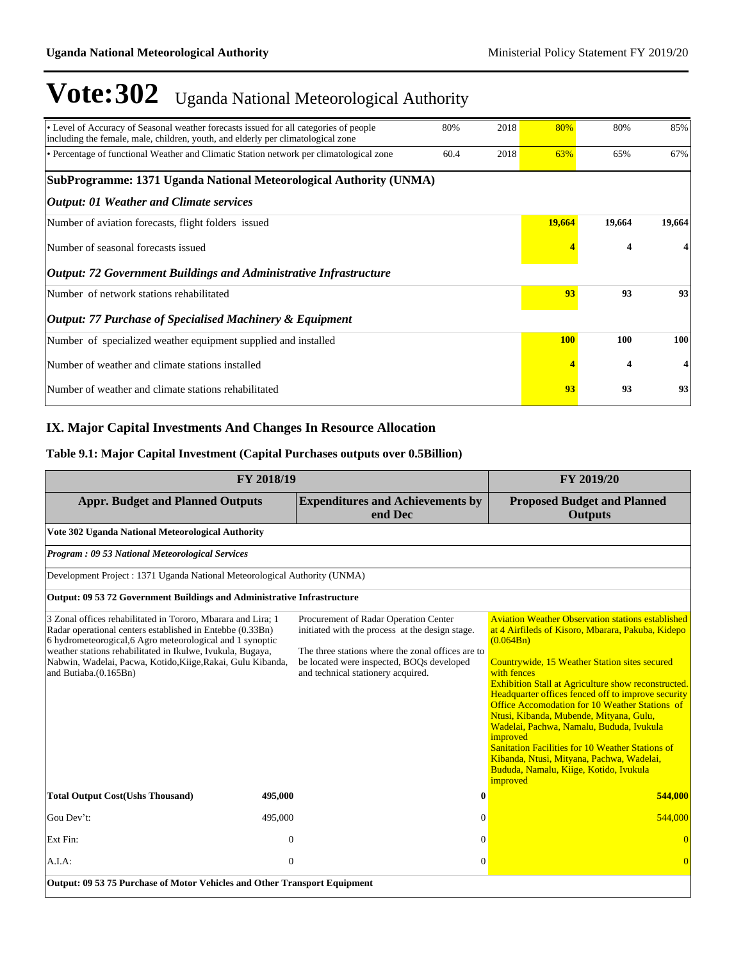| • Level of Accuracy of Seasonal weather forecasts issued for all categories of people<br>including the female, male, children, youth, and elderly per climatological zone | 2018<br>80%  | 80%        | 80%                     | 85%    |
|---------------------------------------------------------------------------------------------------------------------------------------------------------------------------|--------------|------------|-------------------------|--------|
| • Percentage of functional Weather and Climatic Station network per climatological zone                                                                                   | 2018<br>60.4 | 63%        | 65%                     | 67%    |
| SubProgramme: 1371 Uganda National Meteorological Authority (UNMA)                                                                                                        |              |            |                         |        |
| <b>Output: 01 Weather and Climate services</b>                                                                                                                            |              |            |                         |        |
| Number of aviation forecasts, flight folders issued                                                                                                                       |              | 19,664     | 19,664                  | 19,664 |
| Number of seasonal forecasts issued                                                                                                                                       |              |            | $\overline{\mathbf{4}}$ |        |
| <b>Output: 72 Government Buildings and Administrative Infrastructure</b>                                                                                                  |              |            |                         |        |
| Number of network stations rehabilitated                                                                                                                                  |              | 93         | 93                      | 93     |
| <b>Output: 77 Purchase of Specialised Machinery &amp; Equipment</b>                                                                                                       |              |            |                         |        |
| Number of specialized weather equipment supplied and installed                                                                                                            |              | <b>100</b> | 100                     | 100    |
| Number of weather and climate stations installed                                                                                                                          |              |            | $\overline{\mathbf{4}}$ | 4      |
| Number of weather and climate stations rehabilitated                                                                                                                      |              | 93         | 93                      | 93     |

### **IX. Major Capital Investments And Changes In Resource Allocation**

### **Table 9.1: Major Capital Investment (Capital Purchases outputs over 0.5Billion)**

| FY 2018/19                                                                                                                                                                                                                                                                                                                                   | FY 2019/20       |                                                                                                                                                                                                                                  |                                                                                                                                                                                                                                                                                                                                                                                                                                                                                                                                                                                                                                          |
|----------------------------------------------------------------------------------------------------------------------------------------------------------------------------------------------------------------------------------------------------------------------------------------------------------------------------------------------|------------------|----------------------------------------------------------------------------------------------------------------------------------------------------------------------------------------------------------------------------------|------------------------------------------------------------------------------------------------------------------------------------------------------------------------------------------------------------------------------------------------------------------------------------------------------------------------------------------------------------------------------------------------------------------------------------------------------------------------------------------------------------------------------------------------------------------------------------------------------------------------------------------|
| <b>Appr. Budget and Planned Outputs</b>                                                                                                                                                                                                                                                                                                      |                  | <b>Expenditures and Achievements by</b><br>end Dec                                                                                                                                                                               | <b>Proposed Budget and Planned</b><br><b>Outputs</b>                                                                                                                                                                                                                                                                                                                                                                                                                                                                                                                                                                                     |
| Vote 302 Uganda National Meteorological Authority                                                                                                                                                                                                                                                                                            |                  |                                                                                                                                                                                                                                  |                                                                                                                                                                                                                                                                                                                                                                                                                                                                                                                                                                                                                                          |
| <b>Program: 09 53 National Meteorological Services</b>                                                                                                                                                                                                                                                                                       |                  |                                                                                                                                                                                                                                  |                                                                                                                                                                                                                                                                                                                                                                                                                                                                                                                                                                                                                                          |
| Development Project: 1371 Uganda National Meteorological Authority (UNMA)                                                                                                                                                                                                                                                                    |                  |                                                                                                                                                                                                                                  |                                                                                                                                                                                                                                                                                                                                                                                                                                                                                                                                                                                                                                          |
| Output: 09 53 72 Government Buildings and Administrative Infrastructure                                                                                                                                                                                                                                                                      |                  |                                                                                                                                                                                                                                  |                                                                                                                                                                                                                                                                                                                                                                                                                                                                                                                                                                                                                                          |
| 3 Zonal offices rehabilitated in Tororo, Mbarara and Lira; 1<br>Radar operational centers established in Entebbe (0.33Bn)<br>6 hydrometeorogical, 6 Agro meteorological and 1 synoptic<br>weather stations rehabilitated in Ikulwe, Ivukula, Bugaya,<br>Nabwin, Wadelai, Pacwa, Kotido, Kiige, Rakai, Gulu Kibanda,<br>and Butiaba.(0.165Bn) |                  | Procurement of Radar Operation Center<br>initiated with the process at the design stage.<br>The three stations where the zonal offices are to<br>be located were inspected, BOQs developed<br>and technical stationery acquired. | <b>Aviation Weather Observation stations established</b><br>at 4 Airfileds of Kisoro, Mbarara, Pakuba, Kidepo<br>(0.064Bn)<br>Countrywide, 15 Weather Station sites secured<br>with fences<br><b>Exhibition Stall at Agriculture show reconstructed.</b><br>Headquarter offices fenced off to improve security<br><b>Office Accomodation for 10 Weather Stations of</b><br>Ntusi, Kibanda, Mubende, Mityana, Gulu,<br>Wadelai, Pachwa, Namalu, Bududa, Ivukula<br>improved<br><b>Sanitation Facilities for 10 Weather Stations of</b><br>Kibanda, Ntusi, Mityana, Pachwa, Wadelai,<br>Bududa, Namalu, Kiige, Kotido, Ivukula<br>improved |
| <b>Total Output Cost(Ushs Thousand)</b>                                                                                                                                                                                                                                                                                                      | 495,000          | $\bf{0}$                                                                                                                                                                                                                         | 544,000                                                                                                                                                                                                                                                                                                                                                                                                                                                                                                                                                                                                                                  |
| Gou Dev't:                                                                                                                                                                                                                                                                                                                                   | 495,000          | $\Omega$                                                                                                                                                                                                                         | 544,000                                                                                                                                                                                                                                                                                                                                                                                                                                                                                                                                                                                                                                  |
| Ext Fin:                                                                                                                                                                                                                                                                                                                                     | $\mathbf{0}$     | $\Omega$                                                                                                                                                                                                                         | $\Omega$                                                                                                                                                                                                                                                                                                                                                                                                                                                                                                                                                                                                                                 |
| A.I.A.                                                                                                                                                                                                                                                                                                                                       | $\boldsymbol{0}$ | $\mathbf{0}$                                                                                                                                                                                                                     | $\Omega$                                                                                                                                                                                                                                                                                                                                                                                                                                                                                                                                                                                                                                 |
| Output: 09 53 75 Purchase of Motor Vehicles and Other Transport Equipment                                                                                                                                                                                                                                                                    |                  |                                                                                                                                                                                                                                  |                                                                                                                                                                                                                                                                                                                                                                                                                                                                                                                                                                                                                                          |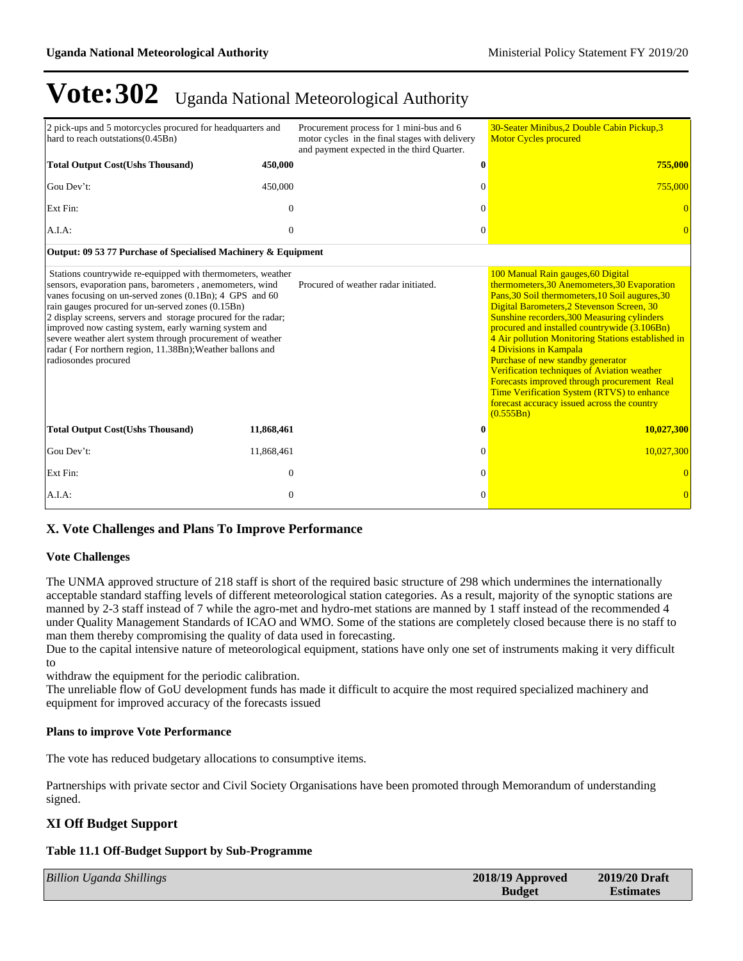| 2 pick-ups and 5 motorcycles procured for headquarters and<br>hard to reach outstations (0.45Bn)                                                                                                                                                                                                                                                                                                                                                                                                                      |                | Procurement process for 1 mini-bus and 6<br>motor cycles in the final stages with delivery<br>and payment expected in the third Quarter. | 30-Seater Minibus, 2 Double Cabin Pickup, 3<br><b>Motor Cycles procured</b>                                                                                                                                                                                                                                                                                                                                                                                                                                                                                                                                     |
|-----------------------------------------------------------------------------------------------------------------------------------------------------------------------------------------------------------------------------------------------------------------------------------------------------------------------------------------------------------------------------------------------------------------------------------------------------------------------------------------------------------------------|----------------|------------------------------------------------------------------------------------------------------------------------------------------|-----------------------------------------------------------------------------------------------------------------------------------------------------------------------------------------------------------------------------------------------------------------------------------------------------------------------------------------------------------------------------------------------------------------------------------------------------------------------------------------------------------------------------------------------------------------------------------------------------------------|
| <b>Total Output Cost(Ushs Thousand)</b>                                                                                                                                                                                                                                                                                                                                                                                                                                                                               | 450,000        | 0                                                                                                                                        | 755,000                                                                                                                                                                                                                                                                                                                                                                                                                                                                                                                                                                                                         |
| Gou Dev't:                                                                                                                                                                                                                                                                                                                                                                                                                                                                                                            | 450,000        | $\Omega$                                                                                                                                 | 755,000                                                                                                                                                                                                                                                                                                                                                                                                                                                                                                                                                                                                         |
| Ext Fin:                                                                                                                                                                                                                                                                                                                                                                                                                                                                                                              | $\theta$       | $\Omega$                                                                                                                                 |                                                                                                                                                                                                                                                                                                                                                                                                                                                                                                                                                                                                                 |
| A.I.A:                                                                                                                                                                                                                                                                                                                                                                                                                                                                                                                | $\mathbf{0}$   | $\Omega$                                                                                                                                 | $\Omega$                                                                                                                                                                                                                                                                                                                                                                                                                                                                                                                                                                                                        |
| Output: 09 53 77 Purchase of Specialised Machinery & Equipment                                                                                                                                                                                                                                                                                                                                                                                                                                                        |                |                                                                                                                                          |                                                                                                                                                                                                                                                                                                                                                                                                                                                                                                                                                                                                                 |
| Stations countrywide re-equipped with thermometers, weather<br>sensors, evaporation pans, barometers, anemometers, wind<br>vanes focusing on un-served zones (0.1Bn); 4 GPS and 60<br>rain gauges procured for un-served zones (0.15Bn)<br>2 display screens, servers and storage procured for the radar;<br>improved now casting system, early warning system and<br>severe weather alert system through procurement of weather<br>radar (For northern region, 11.38Bn); Weather ballons and<br>radiosondes procured |                | Procured of weather radar initiated.                                                                                                     | 100 Manual Rain gauges, 60 Digital<br>thermometers, 30 Anemometers, 30 Evaporation<br>Pans, 30 Soil thermometers, 10 Soil augures, 30<br>Digital Barometers, 2 Stevenson Screen, 30<br>Sunshine recorders, 300 Measuring cylinders<br>procured and installed countrywide (3.106Bn)<br>4 Air pollution Monitoring Stations established in<br>4 Divisions in Kampala<br>Purchase of new standby generator<br>Verification techniques of Aviation weather<br>Forecasts improved through procurement Real<br>Time Verification System (RTVS) to enhance<br>forecast accuracy issued across the country<br>(0.555Bn) |
| <b>Total Output Cost(Ushs Thousand)</b>                                                                                                                                                                                                                                                                                                                                                                                                                                                                               | 11,868,461     |                                                                                                                                          | 10,027,300                                                                                                                                                                                                                                                                                                                                                                                                                                                                                                                                                                                                      |
| Gou Dev't:                                                                                                                                                                                                                                                                                                                                                                                                                                                                                                            | 11,868,461     | $\Omega$                                                                                                                                 | 10,027,300                                                                                                                                                                                                                                                                                                                                                                                                                                                                                                                                                                                                      |
| Ext Fin:                                                                                                                                                                                                                                                                                                                                                                                                                                                                                                              | $\overline{0}$ | $\Omega$                                                                                                                                 |                                                                                                                                                                                                                                                                                                                                                                                                                                                                                                                                                                                                                 |
| A.I.A:                                                                                                                                                                                                                                                                                                                                                                                                                                                                                                                | $\theta$       | $\Omega$                                                                                                                                 | $\bf{0}$                                                                                                                                                                                                                                                                                                                                                                                                                                                                                                                                                                                                        |

### **X. Vote Challenges and Plans To Improve Performance**

### **Vote Challenges**

The UNMA approved structure of 218 staff is short of the required basic structure of 298 which undermines the internationally acceptable standard staffing levels of different meteorological station categories. As a result, majority of the synoptic stations are manned by 2-3 staff instead of 7 while the agro-met and hydro-met stations are manned by 1 staff instead of the recommended 4 under Quality Management Standards of ICAO and WMO. Some of the stations are completely closed because there is no staff to man them thereby compromising the quality of data used in forecasting.

Due to the capital intensive nature of meteorological equipment, stations have only one set of instruments making it very difficult to

withdraw the equipment for the periodic calibration.

The unreliable flow of GoU development funds has made it difficult to acquire the most required specialized machinery and equipment for improved accuracy of the forecasts issued

#### **Plans to improve Vote Performance**

The vote has reduced budgetary allocations to consumptive items.

Partnerships with private sector and Civil Society Organisations have been promoted through Memorandum of understanding signed.

### **XI Off Budget Support**

#### **Table 11.1 Off-Budget Support by Sub-Programme**

| <b>Billion Uganda Shillings</b> | 2018/19 Approved | 2019/20 Draft    |
|---------------------------------|------------------|------------------|
|                                 | <b>Budget</b>    | <b>Estimates</b> |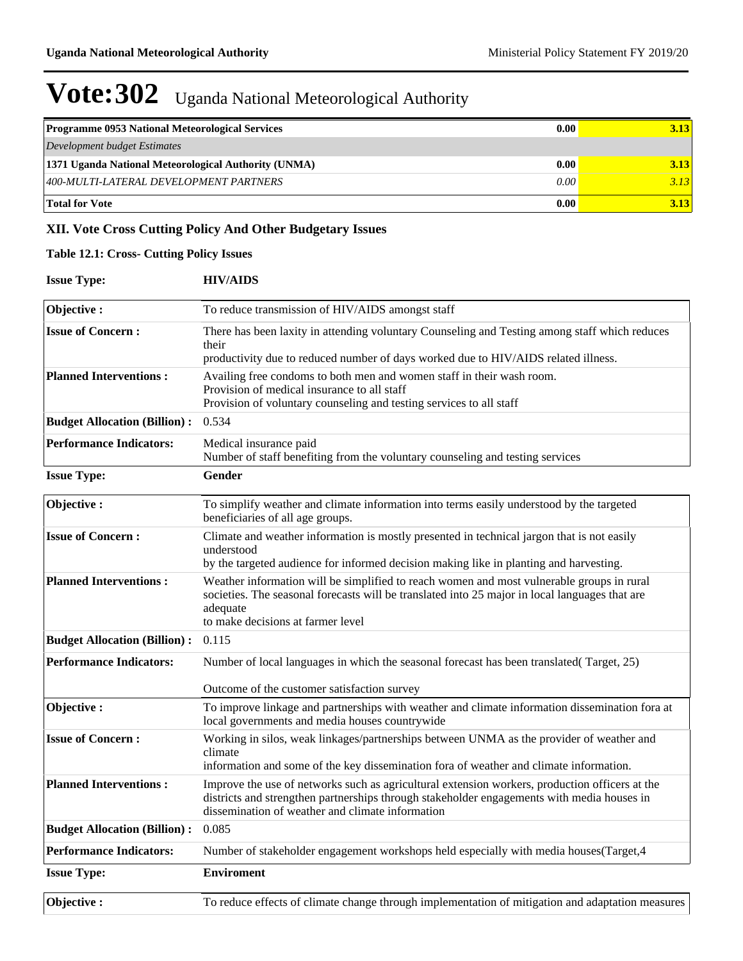| <b>Programme 0953 National Meteorological Services</b> | 0.00 <sub>l</sub> | 3.13 |
|--------------------------------------------------------|-------------------|------|
| Development budget Estimates                           |                   |      |
| 1371 Uganda National Meteorological Authority (UNMA)   | 0.00              | 3.13 |
| 400-MULTI-LATERAL DEVELOPMENT PARTNERS                 | $0.00\degree$     | 3.13 |
| <b>Total for Vote</b>                                  | 0.00              | 3.13 |

### **XII. Vote Cross Cutting Policy And Other Budgetary Issues**

### **Table 12.1: Cross- Cutting Policy Issues**

| <b>Issue Type:</b>                  | <b>HIV/AIDS</b>                                                                                                                                                                                                                                  |
|-------------------------------------|--------------------------------------------------------------------------------------------------------------------------------------------------------------------------------------------------------------------------------------------------|
| Objective:                          | To reduce transmission of HIV/AIDS amongst staff                                                                                                                                                                                                 |
| <b>Issue of Concern:</b>            | There has been laxity in attending voluntary Counseling and Testing among staff which reduces<br>their<br>productivity due to reduced number of days worked due to HIV/AIDS related illness.                                                     |
| <b>Planned Interventions:</b>       | Availing free condoms to both men and women staff in their wash room.<br>Provision of medical insurance to all staff<br>Provision of voluntary counseling and testing services to all staff                                                      |
| <b>Budget Allocation (Billion):</b> | 0.534                                                                                                                                                                                                                                            |
| <b>Performance Indicators:</b>      | Medical insurance paid<br>Number of staff benefiting from the voluntary counseling and testing services                                                                                                                                          |
| <b>Issue Type:</b>                  | Gender                                                                                                                                                                                                                                           |
| Objective:                          | To simplify weather and climate information into terms easily understood by the targeted<br>beneficiaries of all age groups.                                                                                                                     |
| <b>Issue of Concern:</b>            | Climate and weather information is mostly presented in technical jargon that is not easily<br>understood<br>by the targeted audience for informed decision making like in planting and harvesting.                                               |
| <b>Planned Interventions:</b>       | Weather information will be simplified to reach women and most vulnerable groups in rural<br>societies. The seasonal forecasts will be translated into 25 major in local languages that are<br>adequate<br>to make decisions at farmer level     |
| <b>Budget Allocation (Billion):</b> | 0.115                                                                                                                                                                                                                                            |
| <b>Performance Indicators:</b>      | Number of local languages in which the seasonal forecast has been translated (Target, 25)<br>Outcome of the customer satisfaction survey                                                                                                         |
| Objective:                          | To improve linkage and partnerships with weather and climate information dissemination fora at<br>local governments and media houses countrywide                                                                                                 |
| <b>Issue of Concern:</b>            | Working in silos, weak linkages/partnerships between UNMA as the provider of weather and<br>climate<br>information and some of the key dissemination for aof weather and climate information.                                                    |
| <b>Planned Interventions:</b>       | Improve the use of networks such as agricultural extension workers, production officers at the<br>districts and strengthen partnerships through stakeholder engagements with media houses in<br>dissemination of weather and climate information |
| <b>Budget Allocation (Billion):</b> | 0.085                                                                                                                                                                                                                                            |
| <b>Performance Indicators:</b>      | Number of stakeholder engagement workshops held especially with media houses(Target, 4                                                                                                                                                           |
| <b>Issue Type:</b>                  | <b>Enviroment</b>                                                                                                                                                                                                                                |
| Objective:                          | To reduce effects of climate change through implementation of mitigation and adaptation measures                                                                                                                                                 |